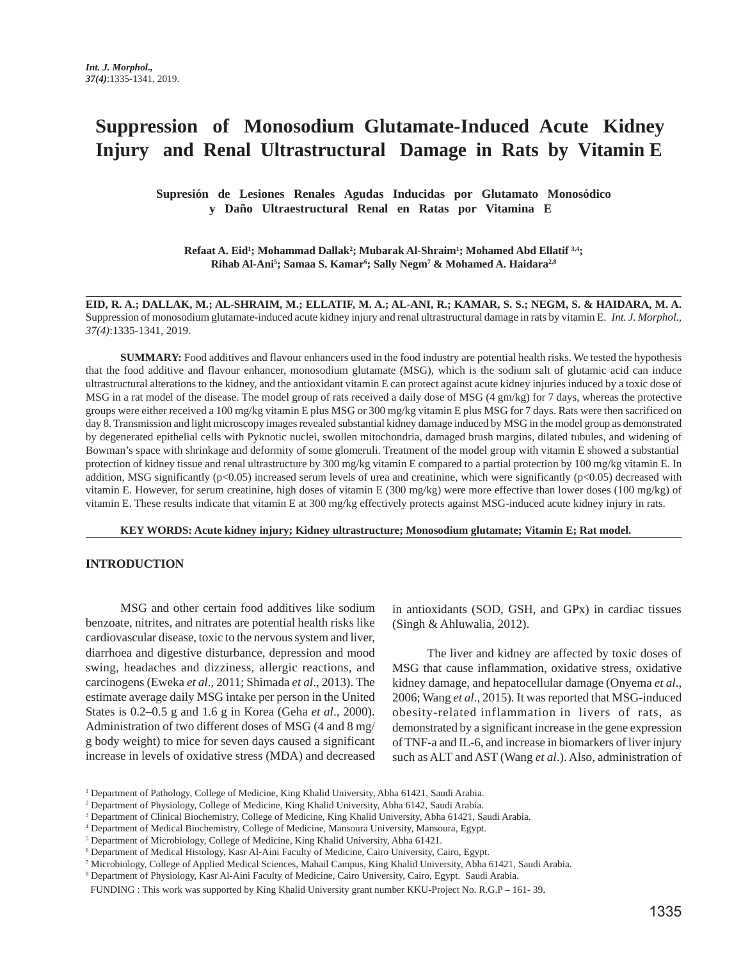# **Suppression of Monosodium Glutamate-Induced Acute Kidney Injury and Renal Ultrastructural Damage in Rats by Vitamin E**

**Supresión de Lesiones Renales Agudas Inducidas por Glutamato Monosódico y Daño Ultraestructural Renal en Ratas por Vitamina E**

**Refaat A. Eid'; Mohammad Dallak<sup>2</sup>; Mubarak Al-Shraim'; Mohamed Abd Ellatif <sup>3,4</sup>; Rihab Al-Ani5 ; Samaa S. Kamar6 ; Sally Negm7 & Mohamed A. Haidara2,8**

**EID, R. A.; DALLAK, M.; AL-SHRAIM, M.; ELLATIF, M. A.; AL-ANI, R.; KAMAR, S. S.; NEGM, S. & HAIDARA, M. A.** Suppression of monosodium glutamate-induced acute kidney injury and renal ultrastructural damage in rats by vitamin E. *Int. J. Morphol., 37(4)*:1335-1341, 2019.

**SUMMARY:** Food additives and flavour enhancers used in the food industry are potential health risks. We tested the hypothesis that the food additive and flavour enhancer, monosodium glutamate (MSG), which is the sodium salt of glutamic acid can induce ultrastructural alterations to the kidney, and the antioxidant vitamin E can protect against acute kidney injuries induced by a toxic dose of MSG in a rat model of the disease. The model group of rats received a daily dose of MSG (4 gm/kg) for 7 days, whereas the protective groups were either received a 100 mg/kg vitamin E plus MSG or 300 mg/kg vitamin E plus MSG for 7 days. Rats were then sacrificed on day 8. Transmission and light microscopy images revealed substantial kidney damage induced by MSG in the model group as demonstrated by degenerated epithelial cells with Pyknotic nuclei, swollen mitochondria, damaged brush margins, dilated tubules, and widening of Bowman's space with shrinkage and deformity of some glomeruli. Treatment of the model group with vitamin E showed a substantial protection of kidney tissue and renal ultrastructure by 300 mg/kg vitamin E compared to a partial protection by 100 mg/kg vitamin E. In addition, MSG significantly (p<0.05) increased serum levels of urea and creatinine, which were significantly (p<0.05) decreased with vitamin E. However, for serum creatinine, high doses of vitamin E (300 mg/kg) were more effective than lower doses (100 mg/kg) of vitamin E. These results indicate that vitamin E at 300 mg/kg effectively protects against MSG-induced acute kidney injury in rats.

**KEY WORDS: Acute kidney injury; Kidney ultrastructure; Monosodium glutamate; Vitamin E; Rat model.**

#### **INTRODUCTION**

MSG and other certain food additives like sodium benzoate, nitrites, and nitrates are potential health risks like cardiovascular disease, toxic to the nervous system and liver, diarrhoea and digestive disturbance, depression and mood swing, headaches and dizziness, allergic reactions, and carcinogens (Eweka *et al*., 2011; Shimada *et al*., 2013). The estimate average daily MSG intake per person in the United States is 0.2–0.5 g and 1.6 g in Korea (Geha *et al*., 2000). Administration of two different doses of MSG (4 and 8 mg/ g body weight) to mice for seven days caused a significant increase in levels of oxidative stress (MDA) and decreased in antioxidants (SOD, GSH, and GPx) in cardiac tissues (Singh & Ahluwalia, 2012).

The liver and kidney are affected by toxic doses of MSG that cause inflammation, oxidative stress, oxidative kidney damage, and hepatocellular damage (Onyema *et al*., 2006; Wang *et al*., 2015). It was reported that MSG-induced obesity-related inflammation in livers of rats, as demonstrated by a significant increase in the gene expression of TNF-a and IL-6, and increase in biomarkers of liver injury such as ALT and AST (Wang *et al*.). Also, administration of

<sup>&</sup>lt;sup>1</sup> Department of Pathology, College of Medicine, King Khalid University, Abha 61421, Saudi Arabia.

<sup>2</sup> Department of Physiology, College of Medicine, King Khalid University, Abha 6142, Saudi Arabia.

<sup>3</sup> Department of Clinical Biochemistry, College of Medicine, King Khalid University, Abha 61421, Saudi Arabia.

<sup>4</sup> Department of Medical Biochemistry, College of Medicine, Mansoura University, Mansoura, Egypt.

<sup>&</sup>lt;sup>5</sup> Department of Microbiology, College of Medicine, King Khalid University, Abha 61421.

<sup>6</sup> Department of Medical Histology, Kasr Al-Aini Faculty of Medicine, Cairo University, Cairo, Egypt.

<sup>7</sup> Microbiology, College of Applied Medical Sciences, Mahail Campus, King Khalid University, Abha 61421, Saudi Arabia.

<sup>8</sup> Department of Physiology, Kasr Al-Aini Faculty of Medicine, Cairo University, Cairo, Egypt. Saudi Arabia.

FUNDING : This work was supported by King Khalid University grant number KKU-Project No. R.G.P – 161- 39.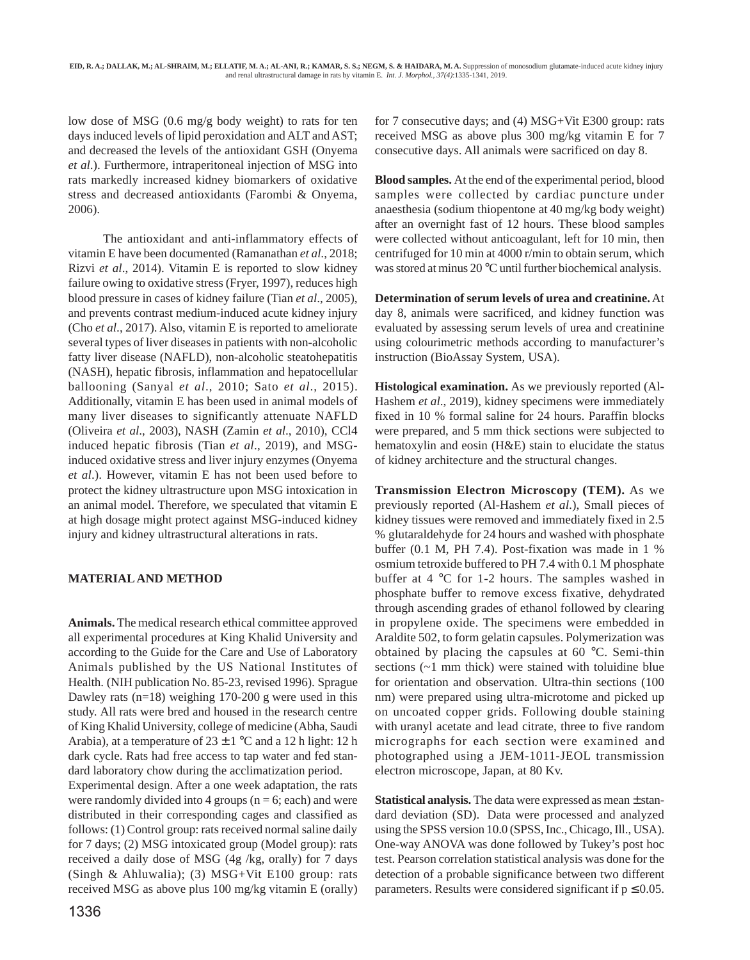low dose of MSG (0.6 mg/g body weight) to rats for ten days induced levels of lipid peroxidation and ALT and AST; and decreased the levels of the antioxidant GSH (Onyema *et al*.). Furthermore, intraperitoneal injection of MSG into rats markedly increased kidney biomarkers of oxidative stress and decreased antioxidants (Farombi & Onyema, 2006).

The antioxidant and anti-inflammatory effects of vitamin E have been documented (Ramanathan *et al*., 2018; Rizvi *et al*., 2014). Vitamin E is reported to slow kidney failure owing to oxidative stress (Fryer, 1997), reduces high blood pressure in cases of kidney failure (Tian *et al*., 2005), and prevents contrast medium-induced acute kidney injury (Cho *et al*., 2017). Also, vitamin E is reported to ameliorate several types of liver diseases in patients with non-alcoholic fatty liver disease (NAFLD), non-alcoholic steatohepatitis (NASH), hepatic fibrosis, inflammation and hepatocellular ballooning (Sanyal *et al*., 2010; Sato *et al*., 2015). Additionally, vitamin E has been used in animal models of many liver diseases to significantly attenuate NAFLD (Oliveira *et al*., 2003), NASH (Zamin *et al*., 2010), CCl4 induced hepatic fibrosis (Tian *et al*., 2019), and MSGinduced oxidative stress and liver injury enzymes (Onyema *et al*.). However, vitamin E has not been used before to protect the kidney ultrastructure upon MSG intoxication in an animal model. Therefore, we speculated that vitamin E at high dosage might protect against MSG-induced kidney injury and kidney ultrastructural alterations in rats.

## **MATERIAL AND METHOD**

**Animals.** The medical research ethical committee approved all experimental procedures at King Khalid University and according to the Guide for the Care and Use of Laboratory Animals published by the US National Institutes of Health. (NIH publication No. 85-23, revised 1996). Sprague Dawley rats  $(n=18)$  weighing 170-200 g were used in this study. All rats were bred and housed in the research centre of King Khalid University, college of medicine (Abha, Saudi Arabia), at a temperature of  $23 \pm 1$  °C and a 12 h light: 12 h dark cycle. Rats had free access to tap water and fed standard laboratory chow during the acclimatization period.

Experimental design. After a one week adaptation, the rats were randomly divided into 4 groups ( $n = 6$ ; each) and were distributed in their corresponding cages and classified as follows: (1) Control group: rats received normal saline daily for 7 days; (2) MSG intoxicated group (Model group): rats received a daily dose of MSG (4g /kg, orally) for 7 days (Singh & Ahluwalia); (3) MSG+Vit E100 group: rats received MSG as above plus 100 mg/kg vitamin E (orally)

**Blood samples.** At the end of the experimental period, blood samples were collected by cardiac puncture under

anaesthesia (sodium thiopentone at 40 mg/kg body weight) after an overnight fast of 12 hours. These blood samples were collected without anticoagulant, left for 10 min, then centrifuged for 10 min at 4000 r/min to obtain serum, which was stored at minus 20 °C until further biochemical analysis.

for 7 consecutive days; and (4) MSG+Vit E300 group: rats received MSG as above plus 300 mg/kg vitamin E for 7 consecutive days. All animals were sacrificed on day 8.

**Determination of serum levels of urea and creatinine.** At day 8, animals were sacrificed, and kidney function was evaluated by assessing serum levels of urea and creatinine using colourimetric methods according to manufacturer's instruction (BioAssay System, USA).

**Histological examination.** As we previously reported (Al-Hashem *et al*., 2019), kidney specimens were immediately fixed in 10 % formal saline for 24 hours. Paraffin blocks were prepared, and 5 mm thick sections were subjected to hematoxylin and eosin (H&E) stain to elucidate the status of kidney architecture and the structural changes.

**Transmission Electron Microscopy (TEM).** As we previously reported (Al-Hashem *et al*.), Small pieces of kidney tissues were removed and immediately fixed in 2.5 % glutaraldehyde for 24 hours and washed with phosphate buffer (0.1 M, PH 7.4). Post-fixation was made in 1 % osmium tetroxide buffered to PH 7.4 with 0.1 M phosphate buffer at 4 °C for 1-2 hours. The samples washed in phosphate buffer to remove excess fixative, dehydrated through ascending grades of ethanol followed by clearing in propylene oxide. The specimens were embedded in Araldite 502, to form gelatin capsules. Polymerization was obtained by placing the capsules at 60 °C. Semi-thin sections (~1 mm thick) were stained with toluidine blue for orientation and observation. Ultra-thin sections (100 nm) were prepared using ultra-microtome and picked up on uncoated copper grids. Following double staining with uranyl acetate and lead citrate, three to five random micrographs for each section were examined and photographed using a JEM-1011-JEOL transmission electron microscope, Japan, at 80 Kv.

**Statistical analysis.** The data were expressed as mean ± standard deviation (SD). Data were processed and analyzed using the SPSS version 10.0 (SPSS, Inc., Chicago, Ill., USA). One-way ANOVA was done followed by Tukey's post hoc test. Pearson correlation statistical analysis was done for the detection of a probable significance between two different parameters. Results were considered significant if  $p \leq 0.05$ .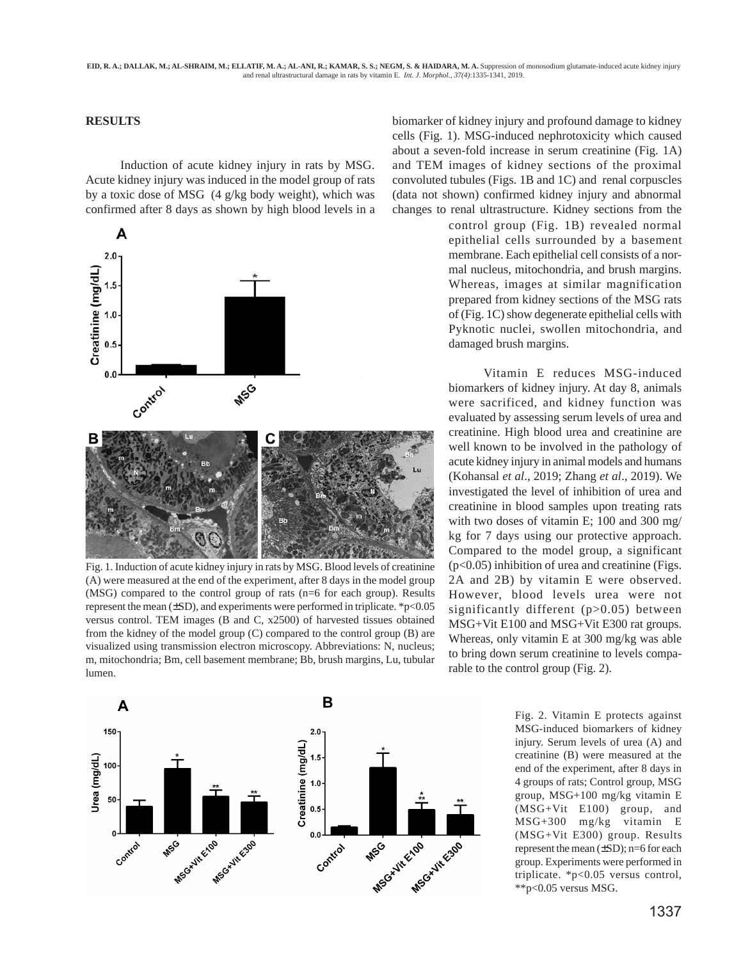#### **RESULTS**

Induction of acute kidney injury in rats by MSG. Acute kidney injury was induced in the model group of rats by a toxic dose of MSG (4 g/kg body weight), which was confirmed after 8 days as shown by high blood levels in a



Fig. 1. Induction of acute kidney injury in rats by MSG. Blood levels of creatinine (A) were measured at the end of the experiment, after 8 days in the model group (MSG) compared to the control group of rats (n=6 for each group). Results represent the mean  $(\pm SD)$ , and experiments were performed in triplicate. \*p<0.05 versus control. TEM images (B and C, x2500) of harvested tissues obtained from the kidney of the model group (C) compared to the control group (B) are visualized using transmission electron microscopy. Abbreviations: N, nucleus; m, mitochondria; Bm, cell basement membrane; Bb, brush margins, Lu, tubular lumen.



biomarker of kidney injury and profound damage to kidney cells (Fig. 1). MSG-induced nephrotoxicity which caused about a seven-fold increase in serum creatinine (Fig. 1A) and TEM images of kidney sections of the proximal convoluted tubules (Figs. 1B and 1C) and renal corpuscles (data not shown) confirmed kidney injury and abnormal changes to renal ultrastructure. Kidney sections from the

> control group (Fig. 1B) revealed normal epithelial cells surrounded by a basement membrane. Each epithelial cell consists of a normal nucleus, mitochondria, and brush margins. Whereas, images at similar magnification prepared from kidney sections of the MSG rats of (Fig. 1C) show degenerate epithelial cells with Pyknotic nuclei, swollen mitochondria, and damaged brush margins.

> Vitamin E reduces MSG-induced biomarkers of kidney injury. At day 8, animals were sacrificed, and kidney function was evaluated by assessing serum levels of urea and creatinine. High blood urea and creatinine are well known to be involved in the pathology of acute kidney injury in animal models and humans (Kohansal *et al*., 2019; Zhang *et al*., 2019). We investigated the level of inhibition of urea and creatinine in blood samples upon treating rats with two doses of vitamin E; 100 and 300 mg/ kg for 7 days using our protective approach. Compared to the model group, a significant  $(p<0.05)$  inhibition of urea and creatinine (Figs. 2A and 2B) by vitamin E were observed. However, blood levels urea were not significantly different (p>0.05) between MSG+Vit E100 and MSG+Vit E300 rat groups. Whereas, only vitamin E at 300 mg/kg was able to bring down serum creatinine to levels comparable to the control group (Fig. 2).

> > Fig. 2. Vitamin E protects against MSG-induced biomarkers of kidney injury. Serum levels of urea (A) and creatinine (B) were measured at the end of the experiment, after 8 days in 4 groups of rats; Control group, MSG group, MSG+100 mg/kg vitamin E (MSG+Vit E100) group, and MSG+300 mg/kg vitamin E (MSG+Vit E300) group. Results represent the mean (±SD); n=6 for each group. Experiments were performed in triplicate. \*p<0.05 versus control, \*\*p<0.05 versus MSG.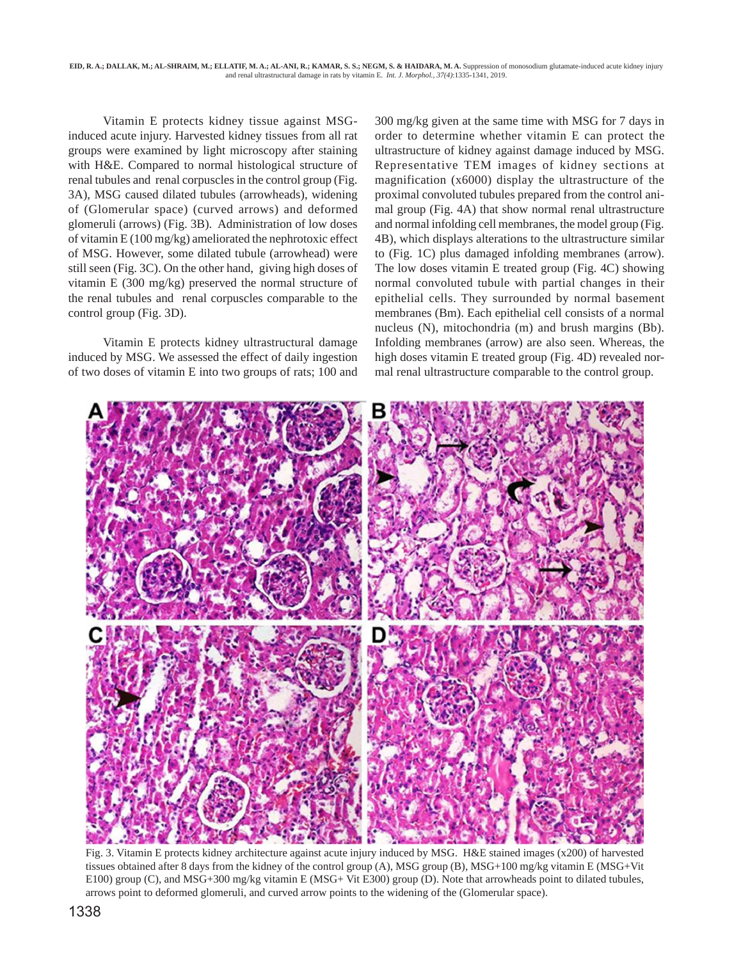Vitamin E protects kidney tissue against MSGinduced acute injury. Harvested kidney tissues from all rat groups were examined by light microscopy after staining with H&E. Compared to normal histological structure of renal tubules and renal corpuscles in the control group (Fig. 3A), MSG caused dilated tubules (arrowheads), widening of (Glomerular space) (curved arrows) and deformed glomeruli (arrows) (Fig. 3B). Administration of low doses of vitamin E (100 mg/kg) ameliorated the nephrotoxic effect of MSG. However, some dilated tubule (arrowhead) were still seen (Fig. 3C). On the other hand, giving high doses of vitamin E (300 mg/kg) preserved the normal structure of the renal tubules and renal corpuscles comparable to the control group (Fig. 3D).

Vitamin E protects kidney ultrastructural damage induced by MSG. We assessed the effect of daily ingestion of two doses of vitamin E into two groups of rats; 100 and 300 mg/kg given at the same time with MSG for 7 days in order to determine whether vitamin E can protect the ultrastructure of kidney against damage induced by MSG. Representative TEM images of kidney sections at magnification (x6000) display the ultrastructure of the proximal convoluted tubules prepared from the control animal group (Fig. 4A) that show normal renal ultrastructure and normal infolding cell membranes, the model group (Fig. 4B), which displays alterations to the ultrastructure similar to (Fig. 1C) plus damaged infolding membranes (arrow). The low doses vitamin E treated group (Fig. 4C) showing normal convoluted tubule with partial changes in their epithelial cells. They surrounded by normal basement membranes (Bm). Each epithelial cell consists of a normal nucleus (N), mitochondria (m) and brush margins (Bb). Infolding membranes (arrow) are also seen. Whereas, the high doses vitamin E treated group (Fig. 4D) revealed normal renal ultrastructure comparable to the control group.



Fig. 3. Vitamin E protects kidney architecture against acute injury induced by MSG. H&E stained images (x200) of harvested tissues obtained after 8 days from the kidney of the control group (A), MSG group (B), MSG+100 mg/kg vitamin E (MSG+Vit E100) group (C), and MSG+300 mg/kg vitamin E (MSG+ Vit E300) group (D). Note that arrowheads point to dilated tubules, arrows point to deformed glomeruli, and curved arrow points to the widening of the (Glomerular space).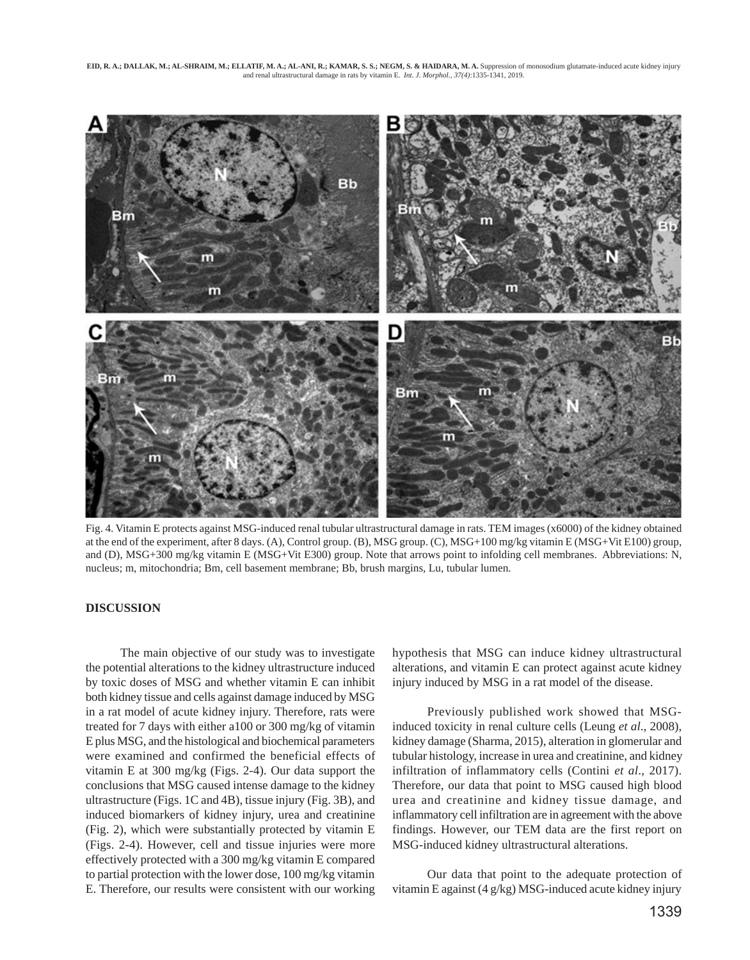

Fig. 4. Vitamin E protects against MSG-induced renal tubular ultrastructural damage in rats. TEM images (x6000) of the kidney obtained at the end of the experiment, after 8 days. (A), Control group. (B), MSG group. (C), MSG+100 mg/kg vitamin E (MSG+Vit E100) group, and (D), MSG+300 mg/kg vitamin E (MSG+Vit E300) group. Note that arrows point to infolding cell membranes. Abbreviations: N, nucleus; m, mitochondria; Bm, cell basement membrane; Bb, brush margins, Lu, tubular lumen.

#### **DISCUSSION**

The main objective of our study was to investigate the potential alterations to the kidney ultrastructure induced by toxic doses of MSG and whether vitamin E can inhibit both kidney tissue and cells against damage induced by MSG in a rat model of acute kidney injury. Therefore, rats were treated for 7 days with either a100 or 300 mg/kg of vitamin E plus MSG, and the histological and biochemical parameters were examined and confirmed the beneficial effects of vitamin E at 300 mg/kg (Figs. 2-4). Our data support the conclusions that MSG caused intense damage to the kidney ultrastructure (Figs. 1C and 4B), tissue injury (Fig. 3B), and induced biomarkers of kidney injury, urea and creatinine (Fig. 2), which were substantially protected by vitamin E (Figs. 2-4). However, cell and tissue injuries were more effectively protected with a 300 mg/kg vitamin E compared to partial protection with the lower dose, 100 mg/kg vitamin E. Therefore, our results were consistent with our working

hypothesis that MSG can induce kidney ultrastructural alterations, and vitamin E can protect against acute kidney injury induced by MSG in a rat model of the disease.

Previously published work showed that MSGinduced toxicity in renal culture cells (Leung *et al*., 2008), kidney damage (Sharma, 2015), alteration in glomerular and tubular histology, increase in urea and creatinine, and kidney infiltration of inflammatory cells (Contini *et al*., 2017). Therefore, our data that point to MSG caused high blood urea and creatinine and kidney tissue damage, and inflammatory cell infiltration are in agreement with the above findings. However, our TEM data are the first report on MSG-induced kidney ultrastructural alterations.

Our data that point to the adequate protection of vitamin E against (4 g/kg) MSG-induced acute kidney injury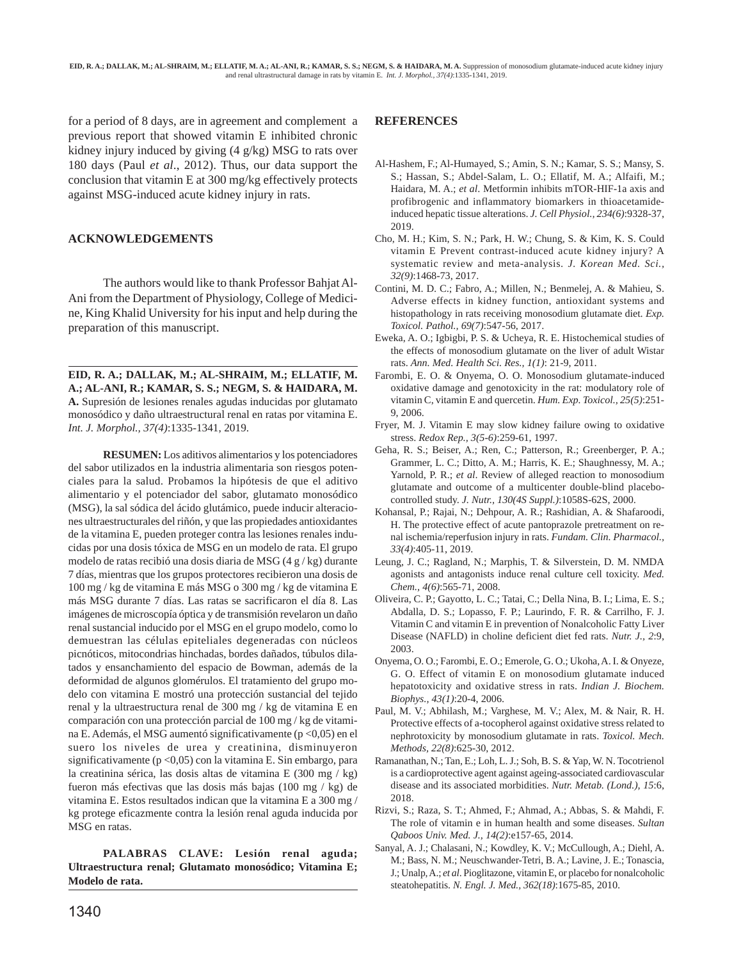for a period of 8 days, are in agreement and complement a previous report that showed vitamin E inhibited chronic kidney injury induced by giving (4 g/kg) MSG to rats over 180 days (Paul *et al*., 2012). Thus, our data support the conclusion that vitamin E at 300 mg/kg effectively protects against MSG-induced acute kidney injury in rats.

#### **ACKNOWLEDGEMENTS**

The authors would like to thank Professor Bahjat Al-Ani from the Department of Physiology, College of Medicine, King Khalid University for his input and help during the preparation of this manuscript.

**EID, R. A.; DALLAK, M.; AL-SHRAIM, M.; ELLATIF, M. A.; AL-ANI, R.; KAMAR, S. S.; NEGM, S. & HAIDARA, M. A.** Supresión de lesiones renales agudas inducidas por glutamato monosódico y daño ultraestructural renal en ratas por vitamina E. *Int. J. Morphol., 37(4)*:1335-1341, 2019.

**RESUMEN:** Los aditivos alimentarios y los potenciadores del sabor utilizados en la industria alimentaria son riesgos potenciales para la salud. Probamos la hipótesis de que el aditivo alimentario y el potenciador del sabor, glutamato monosódico (MSG), la sal sódica del ácido glutámico, puede inducir alteraciones ultraestructurales del riñón, y que las propiedades antioxidantes de la vitamina E, pueden proteger contra las lesiones renales inducidas por una dosis tóxica de MSG en un modelo de rata. El grupo modelo de ratas recibió una dosis diaria de MSG (4 g / kg) durante 7 días, mientras que los grupos protectores recibieron una dosis de 100 mg / kg de vitamina E más MSG o 300 mg / kg de vitamina E más MSG durante 7 días. Las ratas se sacrificaron el día 8. Las imágenes de microscopía óptica y de transmisión revelaron un daño renal sustancial inducido por el MSG en el grupo modelo, como lo demuestran las células epiteliales degeneradas con núcleos picnóticos, mitocondrias hinchadas, bordes dañados, túbulos dilatados y ensanchamiento del espacio de Bowman, además de la deformidad de algunos glomérulos. El tratamiento del grupo modelo con vitamina E mostró una protección sustancial del tejido renal y la ultraestructura renal de 300 mg / kg de vitamina E en comparación con una protección parcial de 100 mg / kg de vitamina E. Además, el MSG aumentó significativamente (p <0,05) en el suero los niveles de urea y creatinina, disminuyeron significativamente (p <0,05) con la vitamina E. Sin embargo, para la creatinina sérica, las dosis altas de vitamina E (300 mg / kg) fueron más efectivas que las dosis más bajas (100 mg / kg) de vitamina E. Estos resultados indican que la vitamina E a 300 mg / kg protege eficazmente contra la lesión renal aguda inducida por MSG en ratas.

**PALABRAS CLAVE: Lesión renal aguda; Ultraestructura renal; Glutamato monosódico; Vitamina E; Modelo de rata.**

### **REFERENCES**

- Al-Hashem, F.; Al-Humayed, S.; Amin, S. N.; Kamar, S. S.; Mansy, S. S.; Hassan, S.; Abdel-Salam, L. O.; Ellatif, M. A.; Alfaifi, M.; Haidara, M. A.; *et al*. Metformin inhibits mTOR-HIF-1a axis and profibrogenic and inflammatory biomarkers in thioacetamideinduced hepatic tissue alterations. *J. Cell Physiol., 234(6)*:9328-37, 2019.
- Cho, M. H.; Kim, S. N.; Park, H. W.; Chung, S. & Kim, K. S. Could vitamin E Prevent contrast-induced acute kidney injury? A systematic review and meta-analysis. *J. Korean Med. Sci., 32(9)*:1468-73, 2017.
- Contini, M. D. C.; Fabro, A.; Millen, N.; Benmelej, A. & Mahieu, S. Adverse effects in kidney function, antioxidant systems and histopathology in rats receiving monosodium glutamate diet. *Exp. Toxicol. Pathol., 69(7)*:547-56, 2017.
- Eweka, A. O.; Igbigbi, P. S. & Ucheya, R. E. Histochemical studies of the effects of monosodium glutamate on the liver of adult Wistar rats. *Ann. Med. Health Sci. Res., 1(1)*: 21-9, 2011.
- Farombi, E. O. & Onyema, O. O. Monosodium glutamate-induced oxidative damage and genotoxicity in the rat: modulatory role of vitamin C, vitamin E and quercetin. *Hum. Exp. Toxicol., 25(5)*:251- 9, 2006.
- Fryer, M. J. Vitamin E may slow kidney failure owing to oxidative stress. *Redox Rep., 3(5-6)*:259-61, 1997.
- Geha, R. S.; Beiser, A.; Ren, C.; Patterson, R.; Greenberger, P. A.; Grammer, L. C.; Ditto, A. M.; Harris, K. E.; Shaughnessy, M. A.; Yarnold, P. R.; *et al.* Review of alleged reaction to monosodium glutamate and outcome of a multicenter double-blind placebocontrolled study. *J. Nutr., 130(4S Suppl.)*:1058S-62S, 2000.
- Kohansal, P.; Rajai, N.; Dehpour, A. R.; Rashidian, A. & Shafaroodi, H. The protective effect of acute pantoprazole pretreatment on renal ischemia/reperfusion injury in rats. *Fundam. Clin. Pharmacol., 33(4)*:405-11, 2019.
- Leung, J. C.; Ragland, N.; Marphis, T. & Silverstein, D. M. NMDA agonists and antagonists induce renal culture cell toxicity. *Med. Chem., 4(6)*:565-71, 2008.
- Oliveira, C. P.; Gayotto, L. C.; Tatai, C.; Della Nina, B. I.; Lima, E. S.; Abdalla, D. S.; Lopasso, F. P.; Laurindo, F. R. & Carrilho, F. J. Vitamin C and vitamin E in prevention of Nonalcoholic Fatty Liver Disease (NAFLD) in choline deficient diet fed rats. *Nutr. J., 2*:9, 2003.
- Onyema, O. O.; Farombi, E. O.; Emerole, G. O.; Ukoha, A. I. & Onyeze, G. O. Effect of vitamin E on monosodium glutamate induced hepatotoxicity and oxidative stress in rats. *Indian J. Biochem. Biophys., 43(1)*:20-4, 2006.
- Paul, M. V.; Abhilash, M.; Varghese, M. V.; Alex, M. & Nair, R. H. Protective effects of a-tocopherol against oxidative stress related to nephrotoxicity by monosodium glutamate in rats. *Toxicol. Mech. Methods, 22(8)*:625-30, 2012.
- Ramanathan, N.; Tan, E.; Loh, L. J.; Soh, B. S. & Yap, W. N. Tocotrienol is a cardioprotective agent against ageing-associated cardiovascular disease and its associated morbidities. *Nutr. Metab. (Lond.), 15*:6, 2018.
- Rizvi, S.; Raza, S. T.; Ahmed, F.; Ahmad, A.; Abbas, S. & Mahdi, F. The role of vitamin e in human health and some diseases. *Sultan Qaboos Univ. Med. J., 14(2)*:e157-65, 2014.
- Sanyal, A. J.; Chalasani, N.; Kowdley, K. V.; McCullough, A.; Diehl, A. M.; Bass, N. M.; Neuschwander-Tetri, B. A.; Lavine, J. E.; Tonascia, J.; Unalp, A.; *et al*. Pioglitazone, vitamin E, or placebo for nonalcoholic steatohepatitis. *N. Engl. J. Med., 362(18)*:1675-85, 2010.